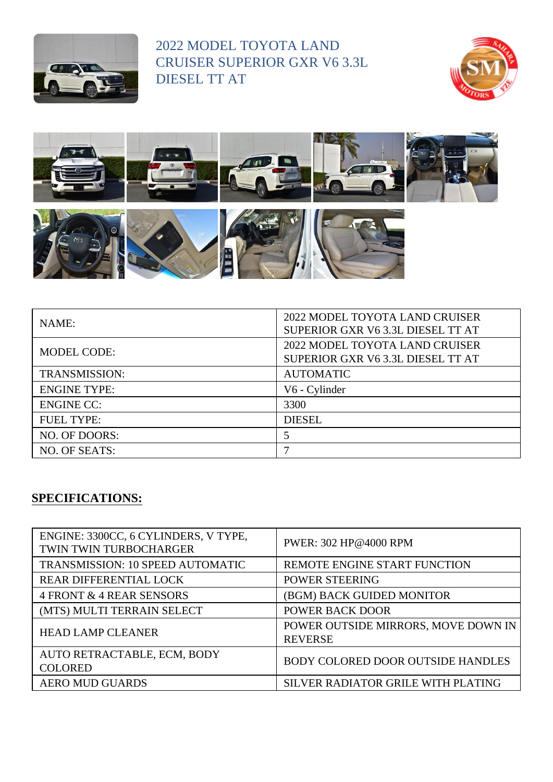

2022 MODEL TOYOTA LAND CRUISER SUPERIOR GXR V6 3.3L DIESEL TT AT





| NAME:                | 2022 MODEL TOYOTA LAND CRUISER<br>SUPERIOR GXR V6 3.3L DIESEL TT AT |
|----------------------|---------------------------------------------------------------------|
| <b>MODEL CODE:</b>   | 2022 MODEL TOYOTA LAND CRUISER<br>SUPERIOR GXR V6 3.3L DIESEL TT AT |
| <b>TRANSMISSION:</b> | <b>AUTOMATIC</b>                                                    |
| <b>ENGINE TYPE:</b>  | V6 - Cylinder                                                       |
| <b>ENGINE CC:</b>    | 3300                                                                |
| <b>FUEL TYPE:</b>    | <b>DIESEL</b>                                                       |
| NO. OF DOORS:        | 5                                                                   |
| NO. OF SEATS:        |                                                                     |

## **SPECIFICATIONS:**

| ENGINE: 3300CC, 6 CYLINDERS, V TYPE,<br>TWIN TWIN TURBOCHARGER | PWER: 302 HP@4000 RPM                                 |
|----------------------------------------------------------------|-------------------------------------------------------|
| <b>TRANSMISSION: 10 SPEED AUTOMATIC</b>                        | REMOTE ENGINE START FUNCTION                          |
| <b>REAR DIFFERENTIAL LOCK</b>                                  | POWER STEERING                                        |
| 4 FRONT & 4 REAR SENSORS                                       | (BGM) BACK GUIDED MONITOR                             |
| (MTS) MULTI TERRAIN SELECT                                     | <b>POWER BACK DOOR</b>                                |
| <b>HEAD LAMP CLEANER</b>                                       | POWER OUTSIDE MIRRORS, MOVE DOWN IN<br><b>REVERSE</b> |
| AUTO RETRACTABLE, ECM, BODY<br><b>COLORED</b>                  | <b>BODY COLORED DOOR OUTSIDE HANDLES</b>              |
| <b>AERO MUD GUARDS</b>                                         | SILVER RADIATOR GRILE WITH PLATING                    |